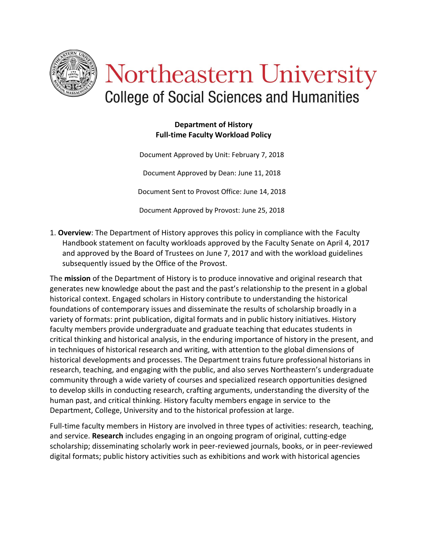

# Northeastern University **College of Social Sciences and Humanities**

### **Department of History Full-time Faculty Workload Policy**

Document Approved by Unit: February 7, 2018 Document Approved by Dean: June 11, 2018 Document Sent to Provost Office: June 14, 2018 Document Approved by Provost: June 25, 2018

1. **Overview**: The Department of History approves this policy in compliance with the Faculty Handbook statement on faculty workloads approved by the Faculty Senate on April 4, 2017 and approved by the Board of Trustees on June 7, 2017 and with the workload guidelines subsequently issued by the Office of the Provost.

The **mission** of the Department of History is to produce innovative and original research that generates new knowledge about the past and the past's relationship to the present in a global historical context. Engaged scholars in History contribute to understanding the historical foundations of contemporary issues and disseminate the results of scholarship broadly in a variety of formats: print publication, digital formats and in public history initiatives. History faculty members provide undergraduate and graduate teaching that educates students in critical thinking and historical analysis, in the enduring importance of history in the present, and in techniques of historical research and writing, with attention to the global dimensions of historical developments and processes. The Department trains future professional historians in research, teaching, and engaging with the public, and also serves Northeastern's undergraduate community through a wide variety of courses and specialized research opportunities designed to develop skills in conducting research, crafting arguments, understanding the diversity of the human past, and critical thinking. History faculty members engage in service to the Department, College, University and to the historical profession at large.

Full-time faculty members in History are involved in three types of activities: research, teaching, and service. **Research** includes engaging in an ongoing program of original, cutting-edge scholarship; disseminating scholarly work in peer-reviewed journals, books, or in peer-reviewed digital formats; public history activities such as exhibitions and work with historical agencies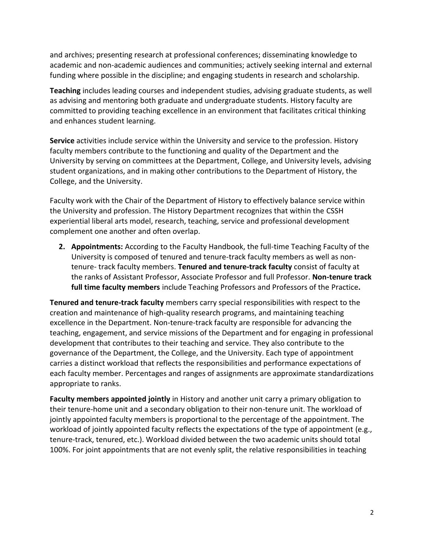and archives; presenting research at professional conferences; disseminating knowledge to academic and non-academic audiences and communities; actively seeking internal and external funding where possible in the discipline; and engaging students in research and scholarship.

**Teaching** includes leading courses and independent studies, advising graduate students, as well as advising and mentoring both graduate and undergraduate students. History faculty are committed to providing teaching excellence in an environment that facilitates critical thinking and enhances student learning.

**Service** activities include service within the University and service to the profession. History faculty members contribute to the functioning and quality of the Department and the University by serving on committees at the Department, College, and University levels, advising student organizations, and in making other contributions to the Department of History, the College, and the University.

Faculty work with the Chair of the Department of History to effectively balance service within the University and profession. The History Department recognizes that within the CSSH experiential liberal arts model, research, teaching, service and professional development complement one another and often overlap.

**2. Appointments:** According to the Faculty Handbook, the full-time Teaching Faculty of the University is composed of tenured and tenure-track faculty members as well as nontenure- track faculty members. **Tenured and tenure-track faculty** consist of faculty at the ranks of Assistant Professor, Associate Professor and full Professor. **Non-tenure track full time faculty members** include Teaching Professors and Professors of the Practice**.**

**Tenured and tenure-track faculty** members carry special responsibilities with respect to the creation and maintenance of high-quality research programs, and maintaining teaching excellence in the Department. Non-tenure-track faculty are responsible for advancing the teaching, engagement, and service missions of the Department and for engaging in professional development that contributes to their teaching and service. They also contribute to the governance of the Department, the College, and the University. Each type of appointment carries a distinct workload that reflects the responsibilities and performance expectations of each faculty member. Percentages and ranges of assignments are approximate standardizations appropriate to ranks.

**Faculty members appointed jointly** in History and another unit carry a primary obligation to their tenure-home unit and a secondary obligation to their non-tenure unit. The workload of jointly appointed faculty members is proportional to the percentage of the appointment. The workload of jointly appointed faculty reflects the expectations of the type of appointment (e.g., tenure-track, tenured, etc.). Workload divided between the two academic units should total 100%. For joint appointments that are not evenly split, the relative responsibilities in teaching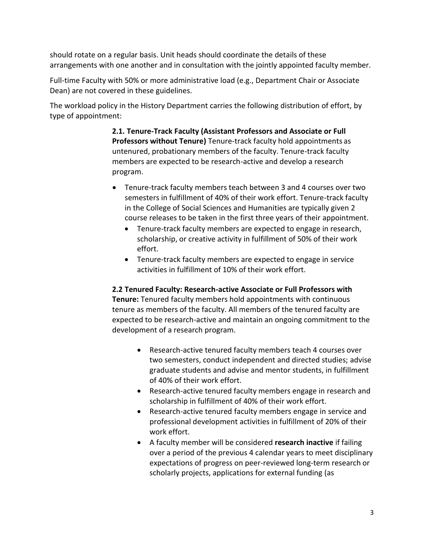should rotate on a regular basis. Unit heads should coordinate the details of these arrangements with one another and in consultation with the jointly appointed faculty member.

Full-time Faculty with 50% or more administrative load (e.g., Department Chair or Associate Dean) are not covered in these guidelines.

The workload policy in the History Department carries the following distribution of effort, by type of appointment:

> **2.1. Tenure-Track Faculty (Assistant Professors and Associate or Full Professors without Tenure)** Tenure-track faculty hold appointments as untenured, probationary members of the faculty. Tenure-track faculty members are expected to be research-active and develop a research program.

- Tenure-track faculty members teach between 3 and 4 courses over two semesters in fulfillment of 40% of their work effort. Tenure-track faculty in the College of Social Sciences and Humanities are typically given 2 course releases to be taken in the first three years of their appointment.
	- Tenure-track faculty members are expected to engage in research, scholarship, or creative activity in fulfillment of 50% of their work effort.
	- Tenure-track faculty members are expected to engage in service activities in fulfillment of 10% of their work effort.

**2.2 Tenured Faculty: Research-active Associate or Full Professors with Tenure:** Tenured faculty members hold appointments with continuous tenure as members of the faculty. All members of the tenured faculty are expected to be research-active and maintain an ongoing commitment to the development of a research program.

- Research-active tenured faculty members teach 4 courses over two semesters, conduct independent and directed studies; advise graduate students and advise and mentor students, in fulfillment of 40% of their work effort.
- Research-active tenured faculty members engage in research and scholarship in fulfillment of 40% of their work effort.
- Research-active tenured faculty members engage in service and professional development activities in fulfillment of 20% of their work effort.
- A faculty member will be considered **research inactive** if failing over a period of the previous 4 calendar years to meet disciplinary expectations of progress on peer-reviewed long-term research or scholarly projects, applications for external funding (as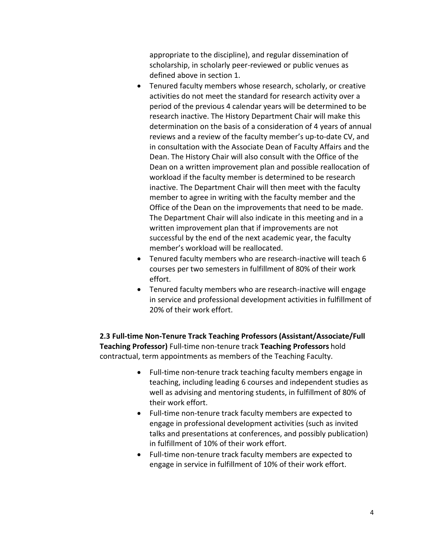appropriate to the discipline), and regular dissemination of scholarship, in scholarly peer-reviewed or public venues as defined above in section 1.

- Tenured faculty members whose research, scholarly, or creative activities do not meet the standard for research activity over a period of the previous 4 calendar years will be determined to be research inactive. The History Department Chair will make this determination on the basis of a consideration of 4 years of annual reviews and a review of the faculty member's up-to-date CV, and in consultation with the Associate Dean of Faculty Affairs and the Dean. The History Chair will also consult with the Office of the Dean on a written improvement plan and possible reallocation of workload if the faculty member is determined to be research inactive. The Department Chair will then meet with the faculty member to agree in writing with the faculty member and the Office of the Dean on the improvements that need to be made. The Department Chair will also indicate in this meeting and in a written improvement plan that if improvements are not successful by the end of the next academic year, the faculty member's workload will be reallocated.
- Tenured faculty members who are research-inactive will teach 6 courses per two semesters in fulfillment of 80% of their work effort.
- Tenured faculty members who are research-inactive will engage in service and professional development activities in fulfillment of 20% of their work effort.

**2.3 Full-time Non-Tenure Track Teaching Professors (Assistant/Associate/Full Teaching Professor)** Full-time non-tenure track **Teaching Professors** hold contractual, term appointments as members of the Teaching Faculty.

- Full-time non-tenure track teaching faculty members engage in teaching, including leading 6 courses and independent studies as well as advising and mentoring students, in fulfillment of 80% of their work effort.
- Full-time non-tenure track faculty members are expected to engage in professional development activities (such as invited talks and presentations at conferences, and possibly publication) in fulfillment of 10% of their work effort.
- Full-time non-tenure track faculty members are expected to engage in service in fulfillment of 10% of their work effort.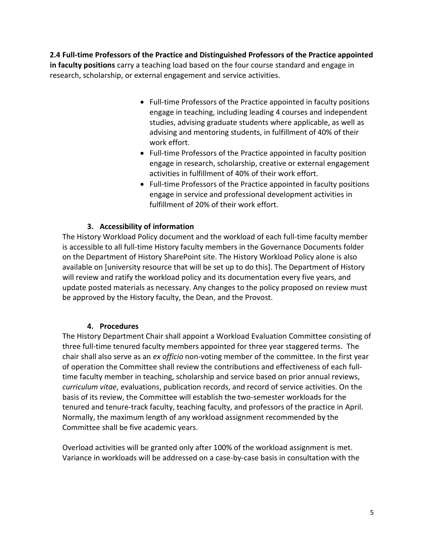**2.4 Full-time Professors of the Practice and Distinguished Professors of the Practice appointed in faculty positions** carry a teaching load based on the four course standard and engage in research, scholarship, or external engagement and service activities.

- Full-time Professors of the Practice appointed in faculty positions engage in teaching, including leading 4 courses and independent studies, advising graduate students where applicable, as well as advising and mentoring students, in fulfillment of 40% of their work effort.
- Full-time Professors of the Practice appointed in faculty position engage in research, scholarship, creative or external engagement activities in fulfillment of 40% of their work effort.
- Full-time Professors of the Practice appointed in faculty positions engage in service and professional development activities in fulfillment of 20% of their work effort.

## **3. Accessibility of information**

The History Workload Policy document and the workload of each full-time faculty member is accessible to all full-time History faculty members in the Governance Documents folder on the Department of History SharePoint site. The History Workload Policy alone is also available on [university resource that will be set up to do this]. The Department of History will review and ratify the workload policy and its documentation every five years, and update posted materials as necessary. Any changes to the policy proposed on review must be approved by the History faculty, the Dean, and the Provost.

#### **4. Procedures**

The History Department Chair shall appoint a Workload Evaluation Committee consisting of three full-time tenured faculty members appointed for three year staggered terms. The chair shall also serve as an *ex officio* non-voting member of the committee. In the first year of operation the Committee shall review the contributions and effectiveness of each fulltime faculty member in teaching, scholarship and service based on prior annual reviews, *curriculum vitae*, evaluations, publication records, and record of service activities. On the basis of its review, the Committee will establish the two-semester workloads for the tenured and tenure-track faculty, teaching faculty, and professors of the practice in April. Normally, the maximum length of any workload assignment recommended by the Committee shall be five academic years.

Overload activities will be granted only after 100% of the workload assignment is met. Variance in workloads will be addressed on a case-by-case basis in consultation with the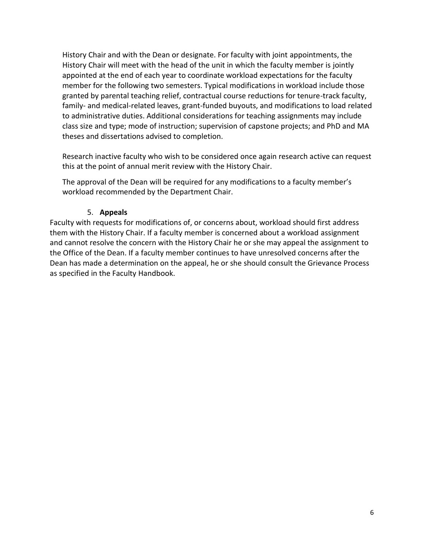History Chair and with the Dean or designate. For faculty with joint appointments, the History Chair will meet with the head of the unit in which the faculty member is jointly appointed at the end of each year to coordinate workload expectations for the faculty member for the following two semesters. Typical modifications in workload include those granted by parental teaching relief, contractual course reductions for tenure-track faculty, family- and medical-related leaves, grant-funded buyouts, and modifications to load related to administrative duties. Additional considerations for teaching assignments may include class size and type; mode of instruction; supervision of capstone projects; and PhD and MA theses and dissertations advised to completion.

Research inactive faculty who wish to be considered once again research active can request this at the point of annual merit review with the History Chair.

The approval of the Dean will be required for any modifications to a faculty member's workload recommended by the Department Chair.

#### 5. **Appeals**

Faculty with requests for modifications of, or concerns about, workload should first address them with the History Chair. If a faculty member is concerned about a workload assignment and cannot resolve the concern with the History Chair he or she may appeal the assignment to the Office of the Dean. If a faculty member continues to have unresolved concerns after the Dean has made a determination on the appeal, he or she should consult the Grievance Process as specified in the Faculty Handbook.